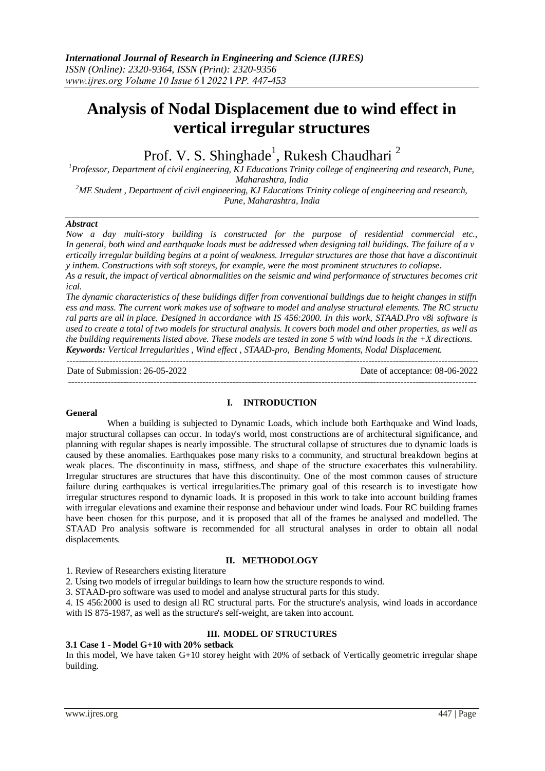# **Analysis of Nodal Displacement due to wind effect in vertical irregular structures**

Prof. V. S. Shinghade<sup>1</sup>, Rukesh Chaudhari<sup>2</sup>

*<sup>1</sup>Professor, Department of civil engineering, KJ Educations Trinity college of engineering and research, Pune, Maharashtra, India*

*<sup>2</sup>ME Student , Department of civil engineering, KJ Educations Trinity college of engineering and research, Pune, Maharashtra, India*

#### *Abstract*

*Now a day multi-story building is constructed for the purpose of residential commercial etc.,*  In general, both wind and earthquake loads must be addressed when designing tall buildings. The failure of a v ertically irregular building begins at a point of weakness. Irregular structures are those that have a discontinuit *y inthem. Constructions with soft storeys, for example, were the most prominent structures to collapse.* As a result, the impact of vertical abnormalities on the seismic and wind performance of structures becomes crit

*ical.* 

The dynamic characteristics of these buildings differ from conventional buildings due to height changes in stiffn ess and mass. The current work makes use of software to model and analyse structural elements. The RC structu *ral parts are all in place. Designed in accordance with IS 456:2000. In this work, STAAD.Pro v8i software is used to create a total of two models for structural analysis. It covers both model and other properties, as well as the building requirements listed above. These models are tested in zone 5 with wind loads in the +X directions. Keywords: Vertical Irregularities , Wind effect , STAAD-pro, Bending Moments, Nodal Displacement.*

---------------------------------------------------------------------------------------------------------------------------------------

Date of Submission: 26-05-2022 Date of acceptance: 08-06-2022

--------------------------------------------------------------------------------------------------------------------------------------

#### **General**

#### **I. INTRODUCTION**

When a building is subjected to Dynamic Loads, which include both Earthquake and Wind loads, major structural collapses can occur. In today's world, most constructions are of architectural significance, and planning with regular shapes is nearly impossible. The structural collapse of structures due to dynamic loads is caused by these anomalies. Earthquakes pose many risks to a community, and structural breakdown begins at weak places. The discontinuity in mass, stiffness, and shape of the structure exacerbates this vulnerability. Irregular structures are structures that have this discontinuity. One of the most common causes of structure failure during earthquakes is vertical irregularities.The primary goal of this research is to investigate how irregular structures respond to dynamic loads. It is proposed in this work to take into account building frames with irregular elevations and examine their response and behaviour under wind loads. Four RC building frames have been chosen for this purpose, and it is proposed that all of the frames be analysed and modelled. The STAAD Pro analysis software is recommended for all structural analyses in order to obtain all nodal displacements.

#### **II. METHODOLOGY**

1. Review of Researchers existing literature

2. Using two models of irregular buildings to learn how the structure responds to wind.

3. STAAD-pro software was used to model and analyse structural parts for this study.

4. IS 456:2000 is used to design all RC structural parts. For the structure's analysis, wind loads in accordance with IS 875-1987, as well as the structure's self-weight, are taken into account.

#### **III. MODEL OF STRUCTURES**

#### **3.1 Case 1 - Model G+10 with 20% setback**

In this model, We have taken G+10 storey height with 20% of setback of Vertically geometric irregular shape building.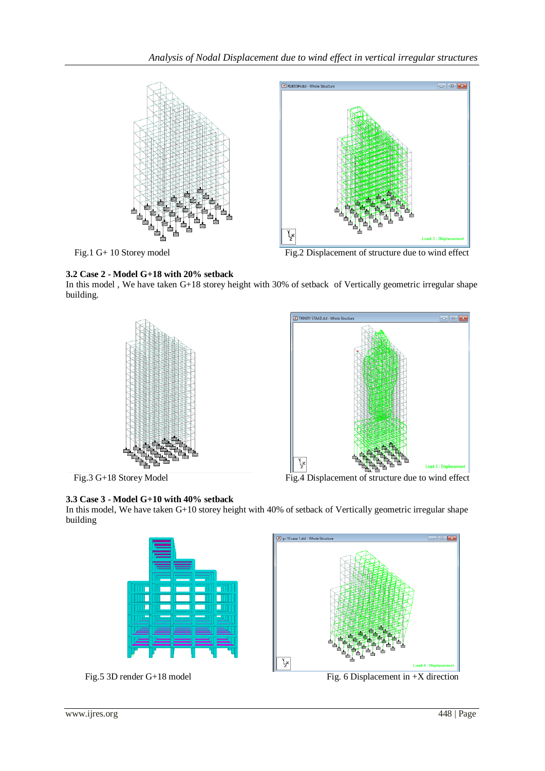

Fig.1 G+ 10 Storey model Fig.2 Displacement of structure due to wind effect



In this model , We have taken G+18 storey height with 30% of setback of Vertically geometric irregular shape building.







In this model, We have taken G+10 storey height with 40% of setback of Vertically geometric irregular shape building





Fig. 5 3D render G+18 model Fig. 6 Displacement in +X direction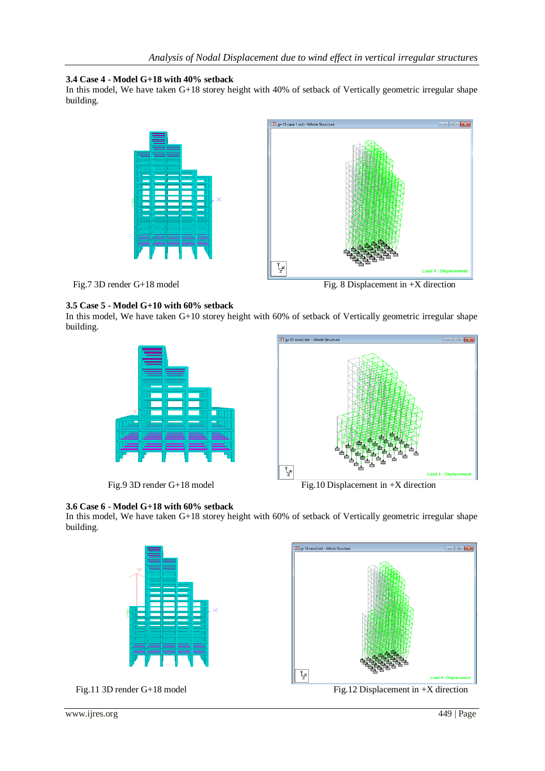## **3.4 Case 4 - Model G+18 with 40% setback**

In this model, We have taken G+18 storey height with 40% of setback of Vertically geometric irregular shape building.





## **3.5 Case 5 - Model G+10 with 60% setback**

In this model, We have taken G+10 storey height with 60% of setback of Vertically geometric irregular shape building.







**3.6 Case 6 - Model G+18 with 60% setback** In this model, We have taken G+18 storey height with 60% of setback of Vertically geometric irregular shape building.

 $\sqrt{\frac{m}{n}}$  g+18 case2.std -





Fig.11 3D render G+18 model Fig.12 Displacement in +X direction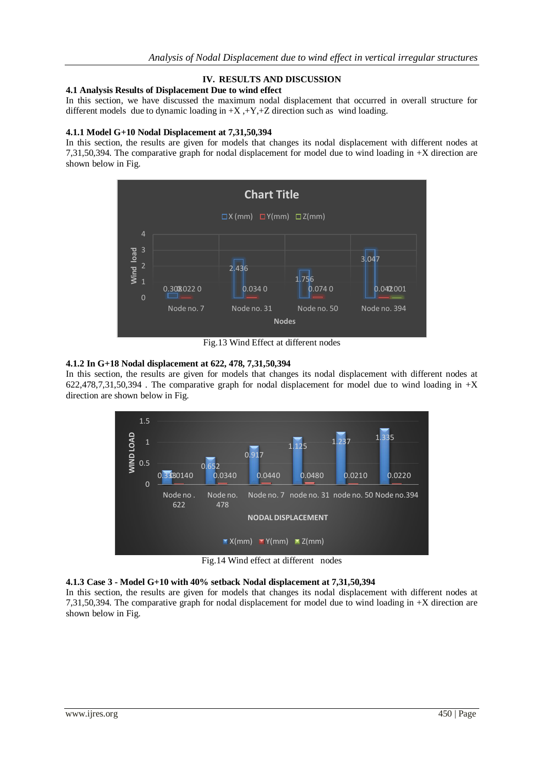# **IV. RESULTS AND DISCUSSION**

## **4.1 Analysis Results of Displacement Due to wind effect**

In this section, we have discussed the maximum nodal displacement that occurred in overall structure for different models due to dynamic loading in +X ,+Y,+Z direction such as wind loading.

#### **4.1.1 Model G+10 Nodal Displacement at 7,31,50,394**

In this section, the results are given for models that changes its nodal displacement with different nodes at 7,31,50,394. The comparative graph for nodal displacement for model due to wind loading in +X direction are shown below in Fig.



Fig.13 Wind Effect at different nodes

## **4.1.2 In G+18 Nodal displacement at 622, 478, 7,31,50,394**

In this section, the results are given for models that changes its nodal displacement with different nodes at  $622,478,7,31,50,394$ . The comparative graph for nodal displacement for model due to wind loading in  $+X$ direction are shown below in Fig.



Fig.14 Wind effect at different nodes

# **4.1.3 Case 3 - Model G+10 with 40% setback Nodal displacement at 7,31,50,394**

In this section, the results are given for models that changes its nodal displacement with different nodes at 7,31,50,394. The comparative graph for nodal displacement for model due to wind loading in +X direction are shown below in Fig.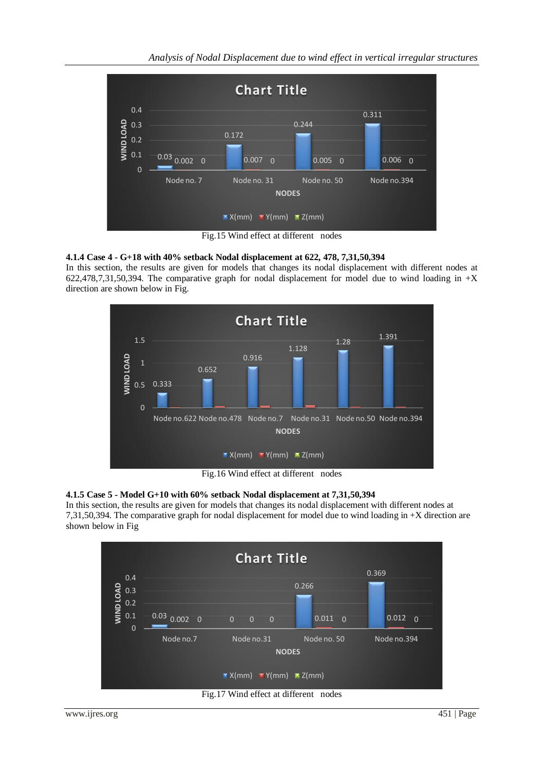*Analysis of Nodal Displacement due to wind effect in vertical irregular structures*



Fig.15 Wind effect at different nodes

# **4.1.4 Case 4 - G+18 with 40% setback Nodal displacement at 622, 478, 7,31,50,394**

In this section, the results are given for models that changes its nodal displacement with different nodes at 622,478,7,31,50,394. The comparative graph for nodal displacement for model due to wind loading in  $+X$ direction are shown below in Fig.



Fig.16 Wind effect at different nodes

# **4.1.5 Case 5 - Model G+10 with 60% setback Nodal displacement at 7,31,50,394**

In this section, the results are given for models that changes its nodal displacement with different nodes at 7,31,50,394. The comparative graph for nodal displacement for model due to wind loading in +X direction are shown below in Fig



Fig.17 Wind effect at different nodes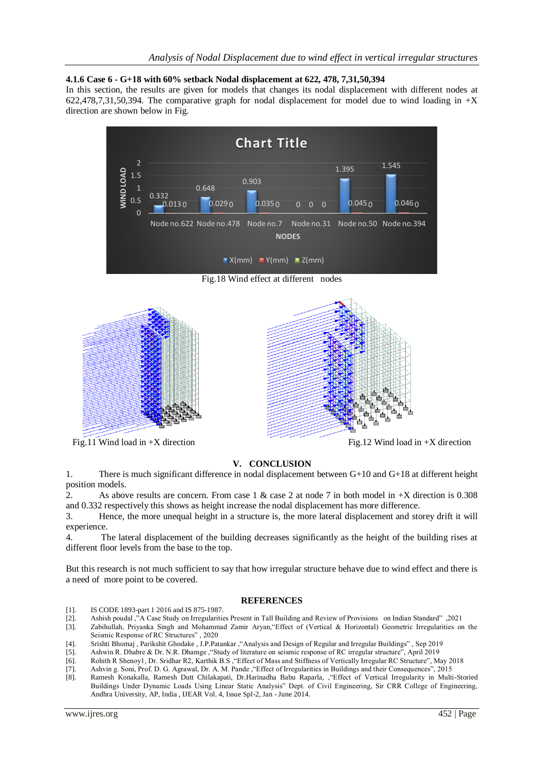## **4.1.6 Case 6 - G+18 with 60% setback Nodal displacement at 622, 478, 7,31,50,394**

In this section, the results are given for models that changes its nodal displacement with different nodes at 622,478,7,31,50,394. The comparative graph for nodal displacement for model due to wind loading in  $+X$ direction are shown below in Fig.



Fig.18 Wind effect at different nodes



Fig.11 Wind load in +X direction Fig.12 Wind load in +X direction



# **V. CONCLUSION**

1. There is much significant difference in nodal displacement between G+10 and G+18 at different height position models.

2. As above results are concern. From case 1 & case 2 at node 7 in both model in +X direction is 0.308 and 0.332 respectively this shows as height increase the nodal displacement has more difference.

3. Hence, the more unequal height in a structure is, the more lateral displacement and storey drift it will experience.

4. The lateral displacement of the building decreases significantly as the height of the building rises at different floor levels from the base to the top.

But this research is not much sufficient to say that how irregular structure behave due to wind effect and there is a need of more point to be covered.

#### **REFERENCES**

- [1]. **IS CODE 1893-part 1 2016 and IS 875-1987.**
- [2]. Ashish poudal ,"A Case Study on Irregularities Present in Tall Building and Review of Provisions on Indian Standard" ,2021
- [3]. Zabihullah, Priyanka Singh and Mohammad Zamir Aryan,"Effect of (Vertical & Horizontal) Geometric Irregularities on the Seismic Response of RC Structures" , 2020
- [4]. Srishti Bhomaj , Parikshit Ghodake , J.P.Patankar ,"Analysis and Design of Regular and Irregular Buildings" , Sep 2019
- [5]. Ashwin R. Dhabre & Dr. N.R. Dhamge ,"Study of literature on seismic response of RC irregular structure", April 2019
- [6]. Rohith R Shenoy1, Dr. Sridhar R2, Karthik B.S ,"Effect of Mass and Stiffness of Vertically Irregular RC Structure", May 2018
- [7]. Ashvin g. Soni, Prof. D. G. Agrawal, Dr. A. M. Pande ,"Effect of Irregularities in Buildings and their Consequences", 2015
- [8]. Ramesh Konakalla, Ramesh Dutt Chilakapati, Dr.Harinadha Babu Raparla, ,"Effect of Vertical Irregularity in Multi-Storied Buildings Under Dynamic Loads Using Linear Static Analysis" Dept. of Civil Engineering, Sir CRR College of Engineering, Andhra University, AP, India , IJEAR Vol. 4, Issue Spl-2, Jan - June 2014.